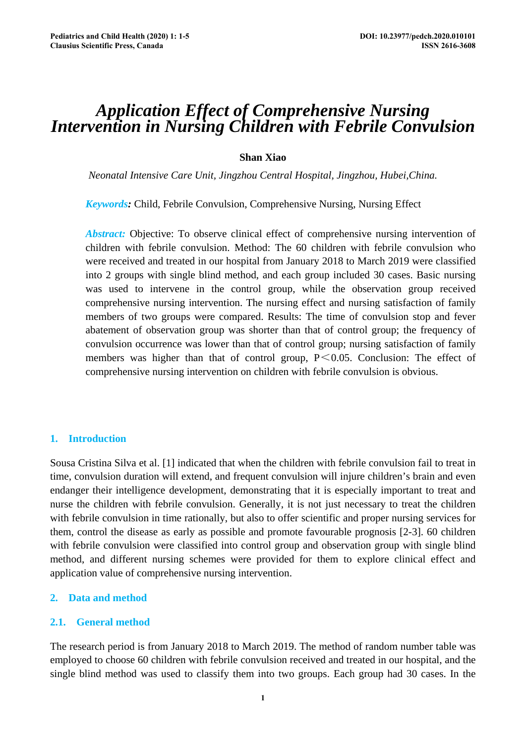# *Application Effect of Comprehensive Nursing Intervention in Nursing Children with Febrile Convulsion*

# **Shan Xiao**

*Neonatal Intensive Care Unit, Jingzhou Central Hospital, Jingzhou, Hubei,China.* 

*Keywords:* Child, Febrile Convulsion, Comprehensive Nursing, Nursing Effect

*Abstract:* Objective: To observe clinical effect of comprehensive nursing intervention of children with febrile convulsion. Method: The 60 children with febrile convulsion who were received and treated in our hospital from January 2018 to March 2019 were classified into 2 groups with single blind method, and each group included 30 cases. Basic nursing was used to intervene in the control group, while the observation group received comprehensive nursing intervention. The nursing effect and nursing satisfaction of family members of two groups were compared. Results: The time of convulsion stop and fever abatement of observation group was shorter than that of control group; the frequency of convulsion occurrence was lower than that of control group; nursing satisfaction of family members was higher than that of control group,  $P \le 0.05$ . Conclusion: The effect of comprehensive nursing intervention on children with febrile convulsion is obvious.

# **1. Introduction**

Sousa Cristina Silva et al. [1] indicated that when the children with febrile convulsion fail to treat in time, convulsion duration will extend, and frequent convulsion will injure children's brain and even endanger their intelligence development, demonstrating that it is especially important to treat and nurse the children with febrile convulsion. Generally, it is not just necessary to treat the children with febrile convulsion in time rationally, but also to offer scientific and proper nursing services for them, control the disease as early as possible and promote favourable prognosis [2-3]. 60 children with febrile convulsion were classified into control group and observation group with single blind method, and different nursing schemes were provided for them to explore clinical effect and application value of comprehensive nursing intervention.

## **2. Data and method**

# **2.1. General method**

The research period is from January 2018 to March 2019. The method of random number table was employed to choose 60 children with febrile convulsion received and treated in our hospital, and the single blind method was used to classify them into two groups. Each group had 30 cases. In the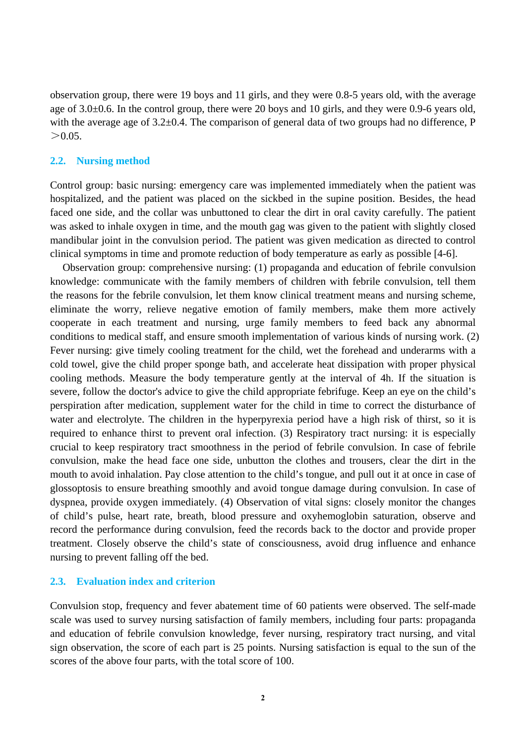observation group, there were 19 boys and 11 girls, and they were 0.8-5 years old, with the average age of 3.0±0.6. In the control group, there were 20 boys and 10 girls, and they were 0.9-6 years old, with the average age of  $3.2\pm0.4$ . The comparison of general data of two groups had no difference, P  $> 0.05$ .

#### **2.2. Nursing method**

Control group: basic nursing: emergency care was implemented immediately when the patient was hospitalized, and the patient was placed on the sickbed in the supine position. Besides, the head faced one side, and the collar was unbuttoned to clear the dirt in oral cavity carefully. The patient was asked to inhale oxygen in time, and the mouth gag was given to the patient with slightly closed mandibular joint in the convulsion period. The patient was given medication as directed to control clinical symptoms in time and promote reduction of body temperature as early as possible [4-6].

Observation group: comprehensive nursing: (1) propaganda and education of febrile convulsion knowledge: communicate with the family members of children with febrile convulsion, tell them the reasons for the febrile convulsion, let them know clinical treatment means and nursing scheme, eliminate the worry, relieve negative emotion of family members, make them more actively cooperate in each treatment and nursing, urge family members to feed back any abnormal conditions to medical staff, and ensure smooth implementation of various kinds of nursing work. (2) Fever nursing: give timely cooling treatment for the child, wet the forehead and underarms with a cold towel, give the child proper sponge bath, and accelerate heat dissipation with proper physical cooling methods. Measure the body temperature gently at the interval of 4h. If the situation is severe, follow the doctor's advice to give the child appropriate febrifuge. Keep an eye on the child's perspiration after medication, supplement water for the child in time to correct the disturbance of water and electrolyte. The children in the hyperpyrexia period have a high risk of thirst, so it is required to enhance thirst to prevent oral infection. (3) Respiratory tract nursing: it is especially crucial to keep respiratory tract smoothness in the period of febrile convulsion. In case of febrile convulsion, make the head face one side, unbutton the clothes and trousers, clear the dirt in the mouth to avoid inhalation. Pay close attention to the child's tongue, and pull out it at once in case of glossoptosis to ensure breathing smoothly and avoid tongue damage during convulsion. In case of dyspnea, provide oxygen immediately. (4) Observation of vital signs: closely monitor the changes of child's pulse, heart rate, breath, blood pressure and oxyhemoglobin saturation, observe and record the performance during convulsion, feed the records back to the doctor and provide proper treatment. Closely observe the child's state of consciousness, avoid drug influence and enhance nursing to prevent falling off the bed.

### **2.3. Evaluation index and criterion**

Convulsion stop, frequency and fever abatement time of 60 patients were observed. The self-made scale was used to survey nursing satisfaction of family members, including four parts: propaganda and education of febrile convulsion knowledge, fever nursing, respiratory tract nursing, and vital sign observation, the score of each part is 25 points. Nursing satisfaction is equal to the sun of the scores of the above four parts, with the total score of 100.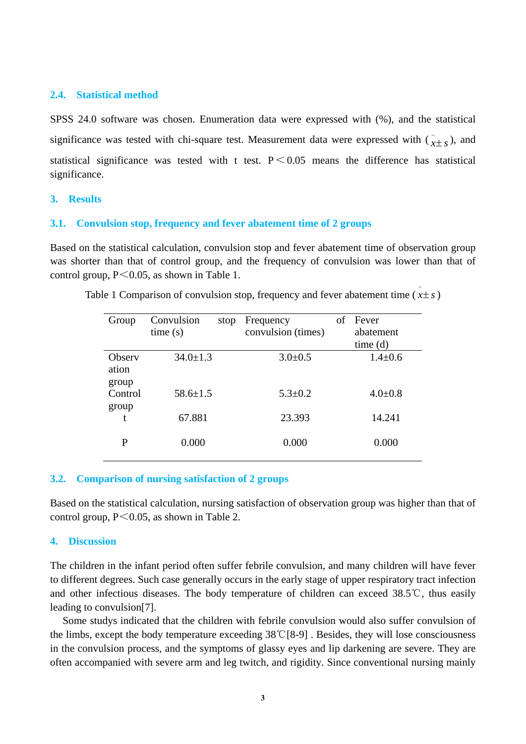## **2.4. Statistical method**

SPSS 24.0 software was chosen. Enumeration data were expressed with (%), and the statistical significance was tested with chi-square test. Measurement data were expressed with  $(\bar{x} \pm s)$ , and statistical significance was tested with t test.  $P \le 0.05$  means the difference has statistical significance.

# **3. Results**

#### **3.1. Convulsion stop, frequency and fever abatement time of 2 groups**

Based on the statistical calculation, convulsion stop and fever abatement time of observation group was shorter than that of control group, and the frequency of convulsion was lower than that of control group,  $P \le 0.05$ , as shown in Table 1.

| Group                    | Convulsion<br>stop<br>time(s) | Frequency<br>convulsion (times) | of | Fever<br>abatement<br>time(d) |
|--------------------------|-------------------------------|---------------------------------|----|-------------------------------|
| Observ<br>ation<br>group | $34.0 \pm 1.3$                | $3.0 \pm 0.5$                   |    | $1.4 \pm 0.6$                 |
| Control<br>group         | $58.6 \pm 1.5$                | $5.3 \pm 0.2$                   |    | $4.0 \pm 0.8$                 |
| t                        | 67.881                        | 23.393                          |    | 14.241                        |
| P                        | 0.000                         | 0.000                           |    | 0.000                         |

Table 1 Comparison of convulsion stop, frequency and fever abatement time  $(x \pm s)$ 

#### **3.2. Comparison of nursing satisfaction of 2 groups**

Based on the statistical calculation, nursing satisfaction of observation group was higher than that of control group,  $P \le 0.05$ , as shown in Table 2.

## **4. Discussion**

The children in the infant period often suffer febrile convulsion, and many children will have fever to different degrees. Such case generally occurs in the early stage of upper respiratory tract infection and other infectious diseases. The body temperature of children can exceed 38.5℃, thus easily leading to convulsion[7].

Some studys indicated that the children with febrile convulsion would also suffer convulsion of the limbs, except the body temperature exceeding 38℃[8-9] . Besides, they will lose consciousness in the convulsion process, and the symptoms of glassy eyes and lip darkening are severe. They are often accompanied with severe arm and leg twitch, and rigidity. Since conventional nursing mainly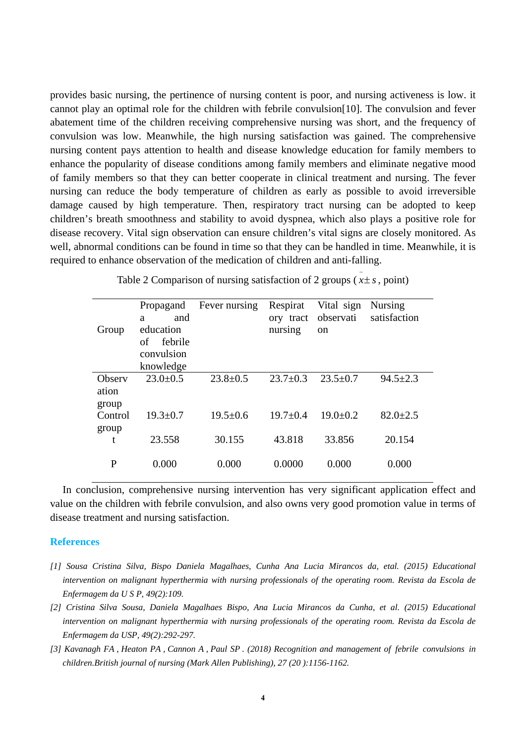provides basic nursing, the pertinence of nursing content is poor, and nursing activeness is low. it cannot play an optimal role for the children with febrile convulsion[10]. The convulsion and fever abatement time of the children receiving comprehensive nursing was short, and the frequency of convulsion was low. Meanwhile, the high nursing satisfaction was gained. The comprehensive nursing content pays attention to health and disease knowledge education for family members to enhance the popularity of disease conditions among family members and eliminate negative mood of family members so that they can better cooperate in clinical treatment and nursing. The fever nursing can reduce the body temperature of children as early as possible to avoid irreversible damage caused by high temperature. Then, respiratory tract nursing can be adopted to keep children's breath smoothness and stability to avoid dyspnea, which also plays a positive role for disease recovery. Vital sign observation can ensure children's vital signs are closely monitored. As well, abnormal conditions can be found in time so that they can be handled in time. Meanwhile, it is required to enhance observation of the medication of children and anti-falling.

|         | Propagand      | Fever nursing  | Respirat       | Vital sign     | <b>Nursing</b> |
|---------|----------------|----------------|----------------|----------------|----------------|
|         | and<br>a       |                | ory tract      | observati      | satisfaction   |
| Group   | education      |                | nursing        | <sub>on</sub>  |                |
|         | febrile<br>of  |                |                |                |                |
|         | convulsion     |                |                |                |                |
|         | knowledge      |                |                |                |                |
| Observ  | $23.0 \pm 0.5$ | $23.8 \pm 0.5$ | $23.7 \pm 0.3$ | $23.5 \pm 0.7$ | $94.5 \pm 2.3$ |
| ation   |                |                |                |                |                |
| group   |                |                |                |                |                |
| Control | $19.3 \pm 0.7$ | $19.5 \pm 0.6$ | $19.7 \pm 0.4$ | $19.0 \pm 0.2$ | $82.0 \pm 2.5$ |
| group   |                |                |                |                |                |
| t       | 23.558         | 30.155         | 43.818         | 33.856         | 20.154         |
|         |                |                |                |                |                |
| P       | 0.000          | 0.000          | 0.0000         | 0.000          | 0.000          |

Table 2 Comparison of nursing satisfaction of 2 groups  $(x \pm s, \text{point})$ 

In conclusion, comprehensive nursing intervention has very significant application effect and value on the children with febrile convulsion, and also owns very good promotion value in terms of disease treatment and nursing satisfaction.

#### **References**

- *[1] Sousa Cristina Silva, Bispo Daniela Magalhaes, Cunha Ana Lucia Mirancos da, etal. (2015) Educational intervention on malignant hyperthermia with nursing professionals of the operating room. Revista da Escola de Enfermagem da U S P, 49(2):109.*
- *[2] Cristina Silva Sousa, Daniela Magalhaes Bispo, Ana Lucia Mirancos da Cunha, et al. (2015) Educational intervention on malignant hyperthermia with nursing professionals of the operating room. Revista da Escola de Enfermagem da USP, 49(2):292-297.*
- *[3] [Kavanagh FA](http://pubmed.cn/javascript:void(0);) , [Heaton PA , Cannon A](http://pubmed.cn/javascript:void(0);) , [Paul SP](http://pubmed.cn/javascript:void(0);) . (2018) [Recognition and management of](http://pubmed.cn/30418862) febrile convulsions in [children.B](http://pubmed.cn/30418862)ritish journal of nursing (Mark Allen Publishing), 27 (20 ):1156-1162.*